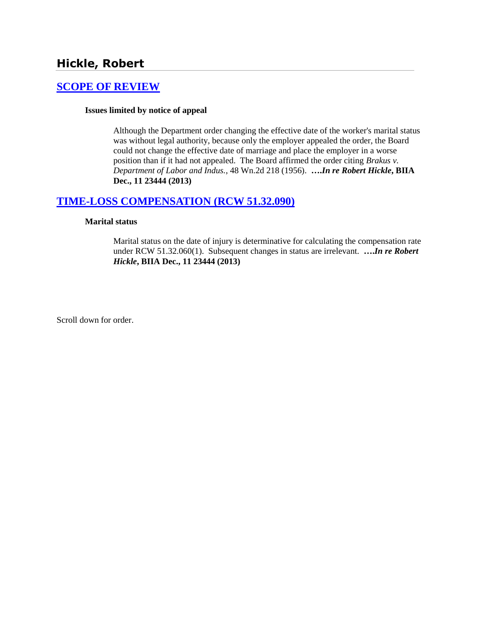# **Hickle, Robert**

### **[SCOPE OF REVIEW](http://www.biia.wa.gov/SDSubjectIndex.html#SCOPE_OF_REVIEW)**

#### **Issues limited by notice of appeal**

Although the Department order changing the effective date of the worker's marital status was without legal authority, because only the employer appealed the order, the Board could not change the effective date of marriage and place the employer in a worse position than if it had not appealed. The Board affirmed the order citing *Brakus v. Department of Labor and Indus.*, 48 Wn.2d 218 (1956). **….***In re Robert Hickle***, BIIA Dec., 11 23444 (2013)**

## **[TIME-LOSS COMPENSATION \(RCW 51.32.090\)](http://www.biia.wa.gov/SDSubjectIndex.html#TIME_LOSS_COMPENSATION)**

#### **Marital status**

Marital status on the date of injury is determinative for calculating the compensation rate under RCW 51.32.060(1). Subsequent changes in status are irrelevant. **….***In re Robert Hickle***, BIIA Dec., 11 23444 (2013)**

Scroll down for order.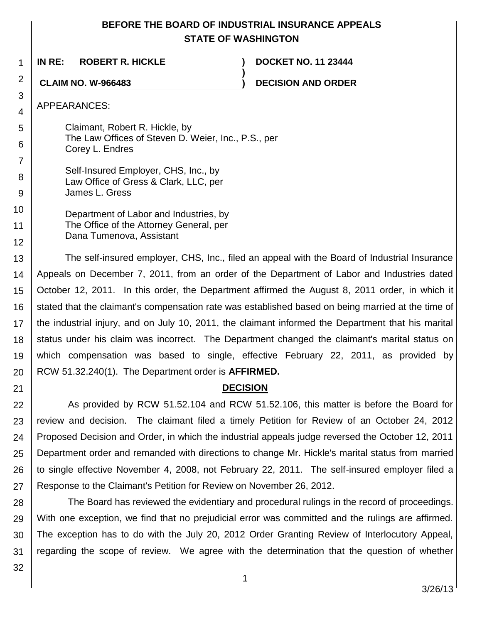# **BEFORE THE BOARD OF INDUSTRIAL INSURANCE APPEALS STATE OF WASHINGTON**

**)**

1 **IN RE: ROBERT R. HICKLE ) DOCKET NO. 11 23444**

**CLAIM NO. W-966483 ) DECISION AND ORDER**

APPEARANCES:

2

3 4

5

6

7

8 9

Claimant, Robert R. Hickle, by The Law Offices of Steven D. Weier, Inc., P.S., per Corey L. Endres

Self-Insured Employer, CHS, Inc., by Law Office of Gress & Clark, LLC, per James L. Gress

10 11 12 Department of Labor and Industries, by The Office of the Attorney General, per Dana Tumenova, Assistant

13 14 15 16 17 18 19 20 The self-insured employer, CHS, Inc., filed an appeal with the Board of Industrial Insurance Appeals on December 7, 2011, from an order of the Department of Labor and Industries dated October 12, 2011. In this order, the Department affirmed the August 8, 2011 order, in which it stated that the claimant's compensation rate was established based on being married at the time of the industrial injury, and on July 10, 2011, the claimant informed the Department that his marital status under his claim was incorrect. The Department changed the claimant's marital status on which compensation was based to single, effective February 22, 2011, as provided by RCW 51.32.240(1). The Department order is **AFFIRMED.**

# **DECISION**

22 23 24 25 26 27 As provided by RCW 51.52.104 and RCW 51.52.106, this matter is before the Board for review and decision. The claimant filed a timely Petition for Review of an October 24, 2012 Proposed Decision and Order, in which the industrial appeals judge reversed the October 12, 2011 Department order and remanded with directions to change Mr. Hickle's marital status from married to single effective November 4, 2008, not February 22, 2011. The self-insured employer filed a Response to the Claimant's Petition for Review on November 26, 2012.

28 29 30 31 The Board has reviewed the evidentiary and procedural rulings in the record of proceedings. With one exception, we find that no prejudicial error was committed and the rulings are affirmed. The exception has to do with the July 20, 2012 Order Granting Review of Interlocutory Appeal, regarding the scope of review. We agree with the determination that the question of whether

32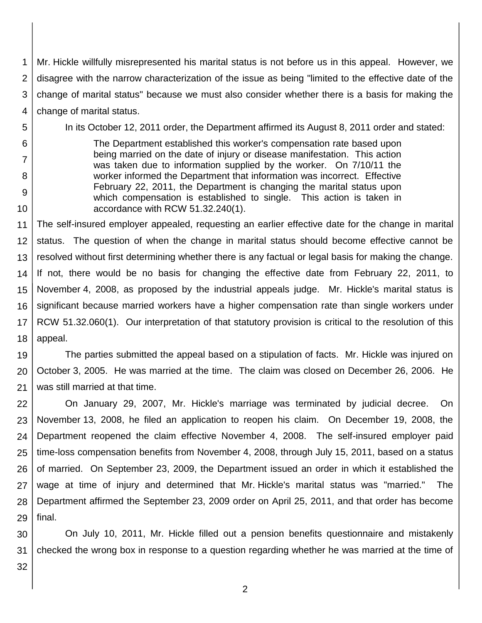1 2 3 4 Mr. Hickle willfully misrepresented his marital status is not before us in this appeal. However, we disagree with the narrow characterization of the issue as being "limited to the effective date of the change of marital status" because we must also consider whether there is a basis for making the change of marital status.

5 6

7

8

9

10

In its October 12, 2011 order, the Department affirmed its August 8, 2011 order and stated:

The Department established this worker's compensation rate based upon being married on the date of injury or disease manifestation. This action was taken due to information supplied by the worker. On 7/10/11 the worker informed the Department that information was incorrect. Effective February 22, 2011, the Department is changing the marital status upon which compensation is established to single. This action is taken in accordance with RCW 51.32.240(1).

11 12 13 14 15 16 17 18 The self-insured employer appealed, requesting an earlier effective date for the change in marital status. The question of when the change in marital status should become effective cannot be resolved without first determining whether there is any factual or legal basis for making the change. If not, there would be no basis for changing the effective date from February 22, 2011, to November 4, 2008, as proposed by the industrial appeals judge. Mr. Hickle's marital status is significant because married workers have a higher compensation rate than single workers under RCW 51.32.060(1). Our interpretation of that statutory provision is critical to the resolution of this appeal.

19 20 21 The parties submitted the appeal based on a stipulation of facts. Mr. Hickle was injured on October 3, 2005. He was married at the time. The claim was closed on December 26, 2006. He was still married at that time.

22 23 24 25 26 27 28 29 On January 29, 2007, Mr. Hickle's marriage was terminated by judicial decree. On November 13, 2008, he filed an application to reopen his claim. On December 19, 2008, the Department reopened the claim effective November 4, 2008. The self-insured employer paid time-loss compensation benefits from November 4, 2008, through July 15, 2011, based on a status of married. On September 23, 2009, the Department issued an order in which it established the wage at time of injury and determined that Mr. Hickle's marital status was "married." The Department affirmed the September 23, 2009 order on April 25, 2011, and that order has become final.

30 31 On July 10, 2011, Mr. Hickle filled out a pension benefits questionnaire and mistakenly checked the wrong box in response to a question regarding whether he was married at the time of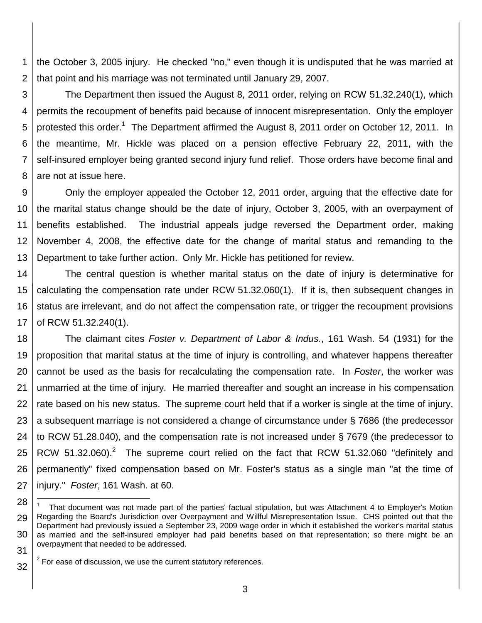1 2 the October 3, 2005 injury. He checked "no," even though it is undisputed that he was married at that point and his marriage was not terminated until January 29, 2007.

3 4 5 6 7 8 The Department then issued the August 8, 2011 order, relying on RCW 51.32.240(1), which permits the recoupment of benefits paid because of innocent misrepresentation. Only the employer protested this order.<sup>1</sup> The Department affirmed the August 8, 2011 order on October 12, 2011. In the meantime, Mr. Hickle was placed on a pension effective February 22, 2011, with the self-insured employer being granted second injury fund relief. Those orders have become final and are not at issue here.

9 10 11 12 13 Only the employer appealed the October 12, 2011 order, arguing that the effective date for the marital status change should be the date of injury, October 3, 2005, with an overpayment of benefits established. The industrial appeals judge reversed the Department order, making November 4, 2008, the effective date for the change of marital status and remanding to the Department to take further action. Only Mr. Hickle has petitioned for review.

14 15 16 17 The central question is whether marital status on the date of injury is determinative for calculating the compensation rate under RCW 51.32.060(1). If it is, then subsequent changes in status are irrelevant, and do not affect the compensation rate, or trigger the recoupment provisions of RCW 51.32.240(1).

18 19 20 21 22 23 24 25 26 27 The claimant cites *Foster v. Department of Labor & Indus.*, 161 Wash. 54 (1931) for the proposition that marital status at the time of injury is controlling, and whatever happens thereafter cannot be used as the basis for recalculating the compensation rate. In *Foster*, the worker was unmarried at the time of injury. He married thereafter and sought an increase in his compensation rate based on his new status. The supreme court held that if a worker is single at the time of injury, a subsequent marriage is not considered a change of circumstance under § 7686 (the predecessor to RCW 51.28.040), and the compensation rate is not increased under § 7679 (the predecessor to RCW 51.32.060).<sup>2</sup> The supreme court relied on the fact that RCW 51.32.060 "definitely and permanently" fixed compensation based on Mr. Foster's status as a single man "at the time of injury." *Foster*, 161 Wash. at 60.

l

<sup>28</sup> 29 30 31 1 That document was not made part of the parties' factual stipulation, but was Attachment 4 to Employer's Motion Regarding the Board's Jurisdiction over Overpayment and Willful Misrepresentation Issue. CHS pointed out that the Department had previously issued a September 23, 2009 wage order in which it established the worker's marital status as married and the self-insured employer had paid benefits based on that representation; so there might be an overpayment that needed to be addressed.

<sup>32</sup>  $2$  For ease of discussion, we use the current statutory references.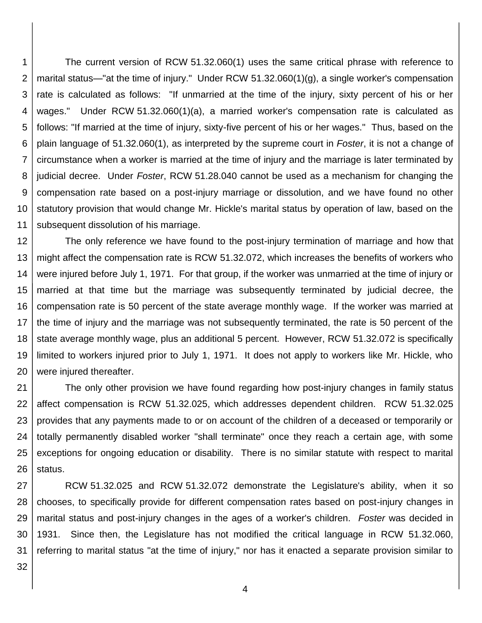1 2 3 4 5 6 7 8 9 10 11 The current version of RCW 51.32.060(1) uses the same critical phrase with reference to marital status—"at the time of injury." Under RCW 51.32.060(1)(g), a single worker's compensation rate is calculated as follows: "If unmarried at the time of the injury, sixty percent of his or her wages." Under RCW 51.32.060(1)(a), a married worker's compensation rate is calculated as follows: "If married at the time of injury, sixty-five percent of his or her wages." Thus, based on the plain language of 51.32.060(1), as interpreted by the supreme court in *Foster*, it is not a change of circumstance when a worker is married at the time of injury and the marriage is later terminated by judicial decree. Under *Foster*, RCW 51.28.040 cannot be used as a mechanism for changing the compensation rate based on a post-injury marriage or dissolution, and we have found no other statutory provision that would change Mr. Hickle's marital status by operation of law, based on the subsequent dissolution of his marriage.

12 13 14 15 16 17 18 19 20 The only reference we have found to the post-injury termination of marriage and how that might affect the compensation rate is RCW 51.32.072, which increases the benefits of workers who were injured before July 1, 1971. For that group, if the worker was unmarried at the time of injury or married at that time but the marriage was subsequently terminated by judicial decree, the compensation rate is 50 percent of the state average monthly wage. If the worker was married at the time of injury and the marriage was not subsequently terminated, the rate is 50 percent of the state average monthly wage, plus an additional 5 percent. However, RCW 51.32.072 is specifically limited to workers injured prior to July 1, 1971. It does not apply to workers like Mr. Hickle, who were injured thereafter.

21 22 23 24 25 26 The only other provision we have found regarding how post-injury changes in family status affect compensation is RCW 51.32.025, which addresses dependent children. RCW 51.32.025 provides that any payments made to or on account of the children of a deceased or temporarily or totally permanently disabled worker "shall terminate" once they reach a certain age, with some exceptions for ongoing education or disability. There is no similar statute with respect to marital status.

27 28 29 30 31 RCW 51.32.025 and RCW 51.32.072 demonstrate the Legislature's ability, when it so chooses, to specifically provide for different compensation rates based on post-injury changes in marital status and post-injury changes in the ages of a worker's children. *Foster* was decided in 1931. Since then, the Legislature has not modified the critical language in RCW 51.32.060, referring to marital status "at the time of injury," nor has it enacted a separate provision similar to

32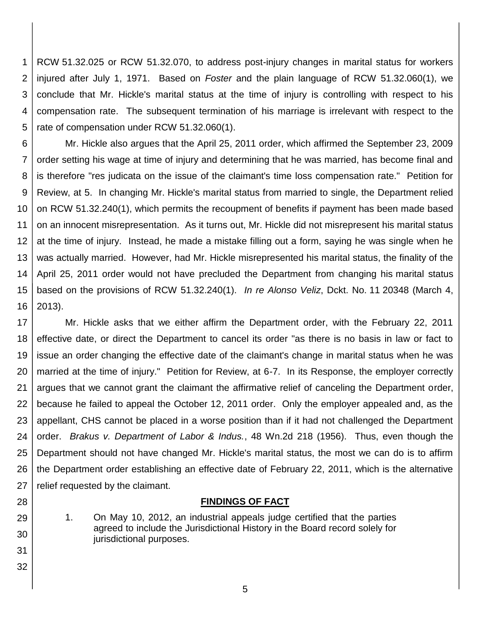1 2 3 4 5 RCW 51.32.025 or RCW 51.32.070, to address post-injury changes in marital status for workers injured after July 1, 1971. Based on *Foster* and the plain language of RCW 51.32.060(1), we conclude that Mr. Hickle's marital status at the time of injury is controlling with respect to his compensation rate. The subsequent termination of his marriage is irrelevant with respect to the rate of compensation under RCW 51.32.060(1).

6 7 8 9 10 11 12 13 14 15 16 Mr. Hickle also argues that the April 25, 2011 order, which affirmed the September 23, 2009 order setting his wage at time of injury and determining that he was married, has become final and is therefore "res judicata on the issue of the claimant's time loss compensation rate." Petition for Review, at 5. In changing Mr. Hickle's marital status from married to single, the Department relied on RCW 51.32.240(1), which permits the recoupment of benefits if payment has been made based on an innocent misrepresentation. As it turns out, Mr. Hickle did not misrepresent his marital status at the time of injury. Instead, he made a mistake filling out a form, saying he was single when he was actually married. However, had Mr. Hickle misrepresented his marital status, the finality of the April 25, 2011 order would not have precluded the Department from changing his marital status based on the provisions of RCW 51.32.240(1). *In re Alonso Veliz*, Dckt. No. 11 20348 (March 4, 2013).

17 18 19 20 21 22 23 24 25 26 27 Mr. Hickle asks that we either affirm the Department order, with the February 22, 2011 effective date, or direct the Department to cancel its order "as there is no basis in law or fact to issue an order changing the effective date of the claimant's change in marital status when he was married at the time of injury." Petition for Review, at 6-7. In its Response, the employer correctly argues that we cannot grant the claimant the affirmative relief of canceling the Department order, because he failed to appeal the October 12, 2011 order. Only the employer appealed and, as the appellant, CHS cannot be placed in a worse position than if it had not challenged the Department order. *Brakus v. Department of Labor & Indus.*, 48 Wn.2d 218 (1956). Thus, even though the Department should not have changed Mr. Hickle's marital status, the most we can do is to affirm the Department order establishing an effective date of February 22, 2011, which is the alternative relief requested by the claimant.

#### **FINDINGS OF FACT**

1. On May 10, 2012, an industrial appeals judge certified that the parties agreed to include the Jurisdictional History in the Board record solely for jurisdictional purposes.

28

29

30

31

32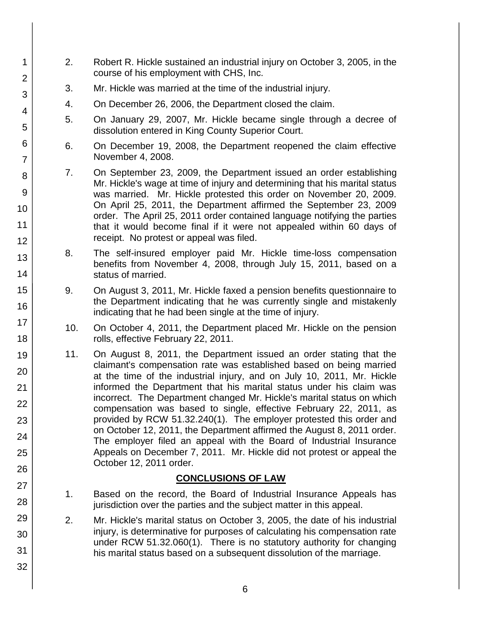- 2. Robert R. Hickle sustained an industrial injury on October 3, 2005, in the course of his employment with CHS, Inc.
	- 3. Mr. Hickle was married at the time of the industrial injury.
	- 4. On December 26, 2006, the Department closed the claim.
	- 5. On January 29, 2007, Mr. Hickle became single through a decree of dissolution entered in King County Superior Court.
	- 6. On December 19, 2008, the Department reopened the claim effective November 4, 2008.
	- 7. On September 23, 2009, the Department issued an order establishing Mr. Hickle's wage at time of injury and determining that his marital status was married. Mr. Hickle protested this order on November 20, 2009. On April 25, 2011, the Department affirmed the September 23, 2009 order. The April 25, 2011 order contained language notifying the parties that it would become final if it were not appealed within 60 days of receipt. No protest or appeal was filed.
- 8. The self-insured employer paid Mr. Hickle time-loss compensation benefits from November 4, 2008, through July 15, 2011, based on a status of married.
- 9. On August 3, 2011, Mr. Hickle faxed a pension benefits questionnaire to the Department indicating that he was currently single and mistakenly indicating that he had been single at the time of injury.
- 10. On October 4, 2011, the Department placed Mr. Hickle on the pension rolls, effective February 22, 2011.
- 11. On August 8, 2011, the Department issued an order stating that the claimant's compensation rate was established based on being married at the time of the industrial injury, and on July 10, 2011, Mr. Hickle informed the Department that his marital status under his claim was incorrect. The Department changed Mr. Hickle's marital status on which compensation was based to single, effective February 22, 2011, as provided by RCW 51.32.240(1). The employer protested this order and on October 12, 2011, the Department affirmed the August 8, 2011 order. The employer filed an appeal with the Board of Industrial Insurance Appeals on December 7, 2011. Mr. Hickle did not protest or appeal the October 12, 2011 order.

## **CONCLUSIONS OF LAW**

- 1. Based on the record, the Board of Industrial Insurance Appeals has jurisdiction over the parties and the subject matter in this appeal.
- 2. Mr. Hickle's marital status on October 3, 2005, the date of his industrial injury, is determinative for purposes of calculating his compensation rate under RCW 51.32.060(1). There is no statutory authority for changing his marital status based on a subsequent dissolution of the marriage.